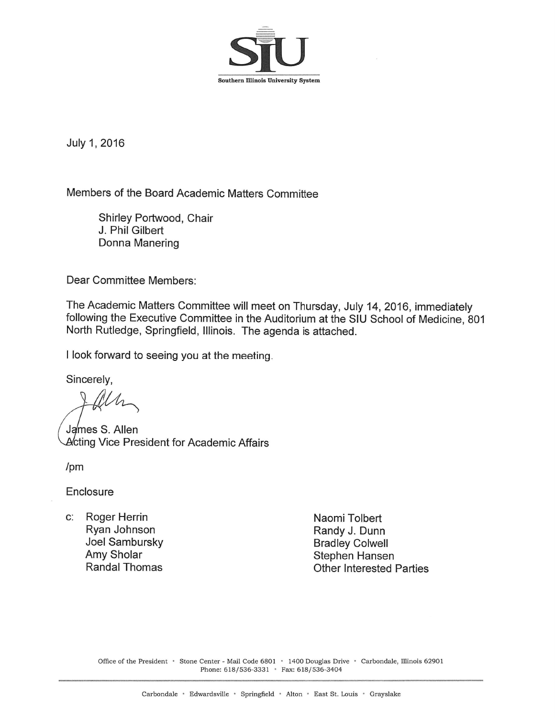

July 1, 2016

Members of the Board Academic Matters Committee

Shirley Portwood, Chair J. Phil Gilbert Donna Manering

**Dear Committee Members:** 

The Academic Matters Committee will meet on Thursday, July 14, 2016, immediately following the Executive Committee in the Auditorium at the SIU School of Medicine, 801 North Rutledge, Springfield, Illinois. The agenda is attached.

I look forward to seeing you at the meeting.

Sincerely.

James S. Allen Acting Vice President for Academic Affairs

 $/pm$ 

Enclosure

c: Roger Herrin Ryan Johnson Joel Sambursky Amy Sholar **Randal Thomas** 

Naomi Tolbert Randy J. Dunn **Bradley Colwell** Stephen Hansen **Other Interested Parties** 

Office of the President · Stone Center - Mail Code 6801 · 1400 Douglas Drive · Carbondale, Illinois 62901 Phone: 618/536-3331 • Fax: 618/536-3404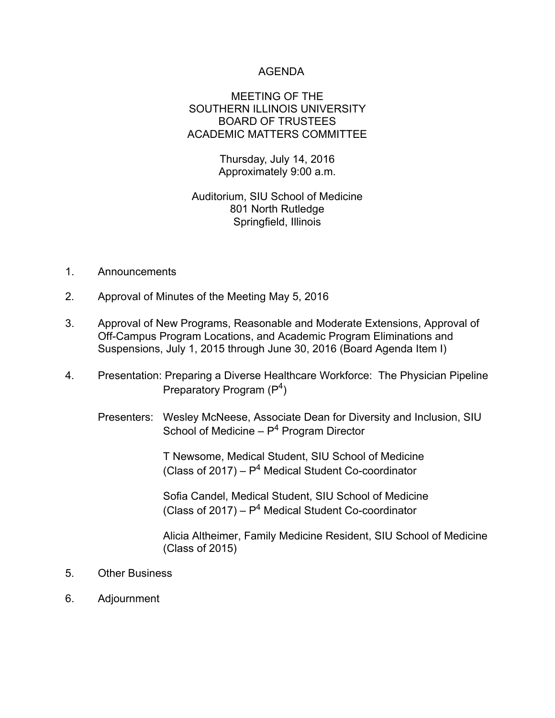## AGENDA

### MEETING OF THE SOUTHERN ILLINOIS UNIVERSITY BOARD OF TRUSTEES ACADEMIC MATTERS COMMITTEE

Thursday, July 14, 2016 Approximately 9:00 a.m.

# Auditorium, SIU School of Medicine 801 North Rutledge Springfield, Illinois

- 1. Announcements
- 2. Approval of Minutes of the Meeting May 5, 2016
- 3. Approval of New Programs, Reasonable and Moderate Extensions, Approval of Off-Campus Program Locations, and Academic Program Eliminations and Suspensions, July 1, 2015 through June 30, 2016 (Board Agenda Item I)
- 4. Presentation: Preparing a Diverse Healthcare Workforce: The Physician Pipeline Preparatory Program  $(P<sup>4</sup>)$ 
	- Presenters: Wesley McNeese, Associate Dean for Diversity and Inclusion, SIU School of Medicine  $- P<sup>4</sup>$  Program Director

 T Newsome, Medical Student, SIU School of Medicine (Class of  $2017$ ) –  $P<sup>4</sup>$  Medical Student Co-coordinator

 Sofia Candel, Medical Student, SIU School of Medicine (Class of 2017) –  $P<sup>4</sup>$  Medical Student Co-coordinator

> Alicia Altheimer, Family Medicine Resident, SIU School of Medicine (Class of 2015)

- 5. Other Business
- 6. Adjournment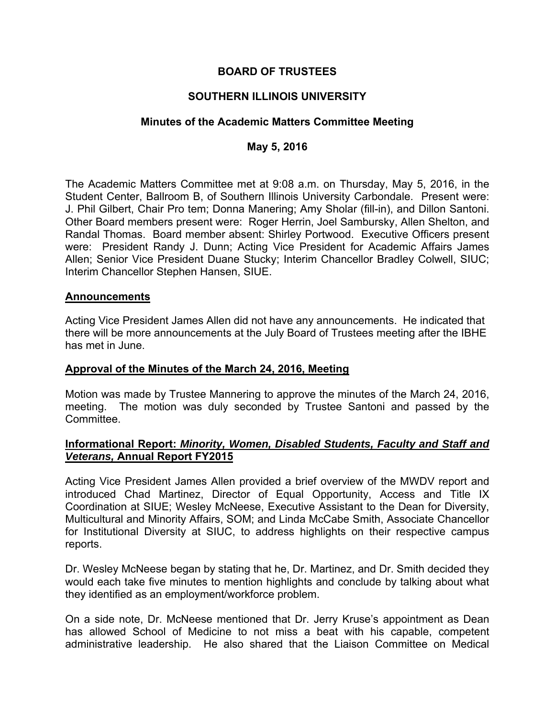# **BOARD OF TRUSTEES**

# **SOUTHERN ILLINOIS UNIVERSITY**

## **Minutes of the Academic Matters Committee Meeting**

## **May 5, 2016**

The Academic Matters Committee met at 9:08 a.m. on Thursday, May 5, 2016, in the Student Center, Ballroom B, of Southern Illinois University Carbondale. Present were: J. Phil Gilbert, Chair Pro tem; Donna Manering; Amy Sholar (fill-in), and Dillon Santoni. Other Board members present were: Roger Herrin, Joel Sambursky, Allen Shelton, and Randal Thomas. Board member absent: Shirley Portwood. Executive Officers present were: President Randy J. Dunn; Acting Vice President for Academic Affairs James Allen; Senior Vice President Duane Stucky; Interim Chancellor Bradley Colwell, SIUC; Interim Chancellor Stephen Hansen, SIUE.

#### **Announcements**

Acting Vice President James Allen did not have any announcements. He indicated that there will be more announcements at the July Board of Trustees meeting after the IBHE has met in June.

#### **Approval of the Minutes of the March 24, 2016, Meeting**

Motion was made by Trustee Mannering to approve the minutes of the March 24, 2016, meeting. The motion was duly seconded by Trustee Santoni and passed by the Committee.

# **Informational Report:** *Minority, Women, Disabled Students, Faculty and Staff and Veterans,* **Annual Report FY2015**

Acting Vice President James Allen provided a brief overview of the MWDV report and introduced Chad Martinez, Director of Equal Opportunity, Access and Title IX Coordination at SIUE; Wesley McNeese, Executive Assistant to the Dean for Diversity, Multicultural and Minority Affairs, SOM; and Linda McCabe Smith, Associate Chancellor for Institutional Diversity at SIUC, to address highlights on their respective campus reports.

Dr. Wesley McNeese began by stating that he, Dr. Martinez, and Dr. Smith decided they would each take five minutes to mention highlights and conclude by talking about what they identified as an employment/workforce problem.

On a side note, Dr. McNeese mentioned that Dr. Jerry Kruse's appointment as Dean has allowed School of Medicine to not miss a beat with his capable, competent administrative leadership. He also shared that the Liaison Committee on Medical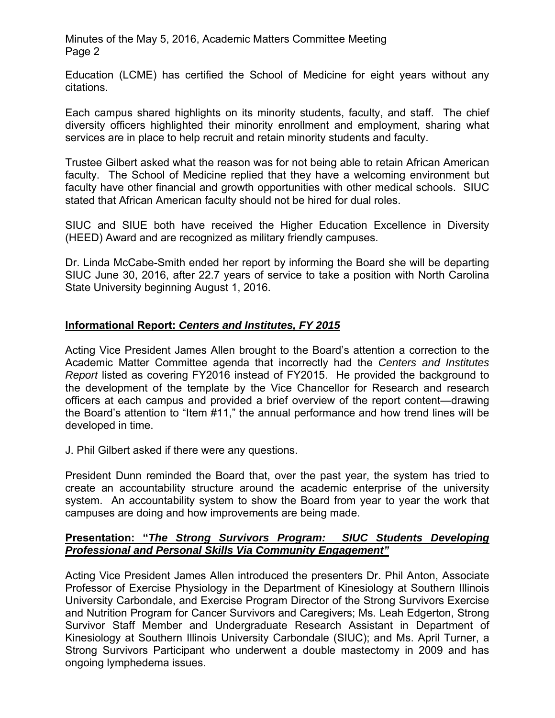Minutes of the May 5, 2016, Academic Matters Committee Meeting Page 2

Education (LCME) has certified the School of Medicine for eight years without any citations.

Each campus shared highlights on its minority students, faculty, and staff. The chief diversity officers highlighted their minority enrollment and employment, sharing what services are in place to help recruit and retain minority students and faculty.

Trustee Gilbert asked what the reason was for not being able to retain African American faculty. The School of Medicine replied that they have a welcoming environment but faculty have other financial and growth opportunities with other medical schools. SIUC stated that African American faculty should not be hired for dual roles.

SIUC and SIUE both have received the Higher Education Excellence in Diversity (HEED) Award and are recognized as military friendly campuses.

Dr. Linda McCabe-Smith ended her report by informing the Board she will be departing SIUC June 30, 2016, after 22.7 years of service to take a position with North Carolina State University beginning August 1, 2016.

# **Informational Report:** *Centers and Institutes, FY 2015*

Acting Vice President James Allen brought to the Board's attention a correction to the Academic Matter Committee agenda that incorrectly had the *Centers and Institutes Report* listed as covering FY2016 instead of FY2015. He provided the background to the development of the template by the Vice Chancellor for Research and research officers at each campus and provided a brief overview of the report content—drawing the Board's attention to "Item #11," the annual performance and how trend lines will be developed in time.

J. Phil Gilbert asked if there were any questions.

President Dunn reminded the Board that, over the past year, the system has tried to create an accountability structure around the academic enterprise of the university system. An accountability system to show the Board from year to year the work that campuses are doing and how improvements are being made.

### **Presentation: "***The Strong Survivors Program: SIUC Students Developing Professional and Personal Skills Via Community Engagement"*

Acting Vice President James Allen introduced the presenters Dr. Phil Anton, Associate Professor of Exercise Physiology in the Department of Kinesiology at Southern Illinois University Carbondale, and Exercise Program Director of the Strong Survivors Exercise and Nutrition Program for Cancer Survivors and Caregivers; Ms. Leah Edgerton, Strong Survivor Staff Member and Undergraduate Research Assistant in Department of Kinesiology at Southern Illinois University Carbondale (SIUC); and Ms. April Turner, a Strong Survivors Participant who underwent a double mastectomy in 2009 and has ongoing lymphedema issues.